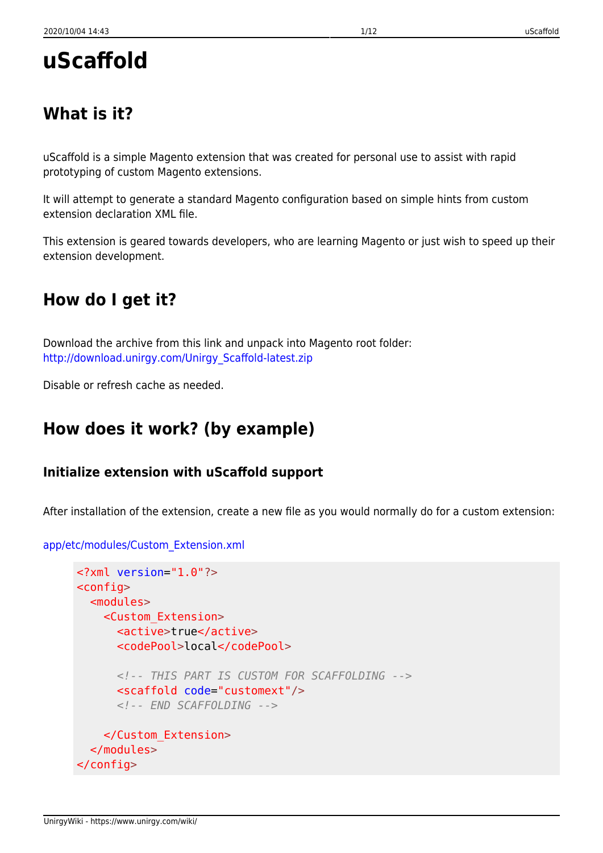# **uScaffold**

# **What is it?**

uScaffold is a simple Magento extension that was created for personal use to assist with rapid prototyping of custom Magento extensions.

It will attempt to generate a standard Magento configuration based on simple hints from custom extension declaration XML file.

This extension is geared towards developers, who are learning Magento or just wish to speed up their extension development.

# **How do I get it?**

Download the archive from this link and unpack into Magento root folder: [http://download.unirgy.com/Unirgy\\_Scaffold-latest.zip](http://download.unirgy.com/Unirgy_Scaffold-latest.zip)

Disable or refresh cache as needed.

# **How does it work? (by example)**

### **Initialize extension with uScaffold support**

After installation of the extension, create a new file as you would normally do for a custom extension:

```
<?xml version="1.0"?>
<config>
   <modules>
     <Custom_Extension>
       <active>true</active>
       <codePool>local</codePool>
       <!-- THIS PART IS CUSTOM FOR SCAFFOLDING -->
       <scaffold code="customext"/>
       <!-- END SCAFFOLDING -->
     </Custom_Extension>
   </modules>
</config>
```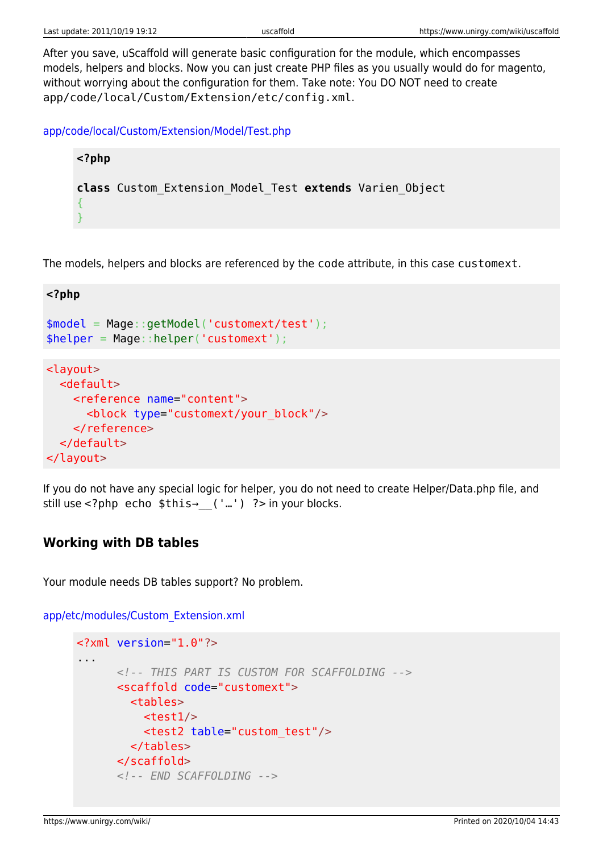After you save, uScaffold will generate basic configuration for the module, which encompasses models, helpers and blocks. Now you can just create PHP files as you usually would do for magento, without worrying about the configuration for them. Take note: You DO NOT need to create app/code/local/Custom/Extension/etc/config.xml.

[app/code/local/Custom/Extension/Model/Test.php](https://www.unirgy.com/wiki/_export/code/uscaffold?codeblock=1)

**<?php class** Custom\_Extension\_Model\_Test **extends** Varien\_Object { }

The models, helpers and blocks are referenced by the code attribute, in this case customext.

```
<?php
$model = Mage::getModel('customext/test');
$helper = Mage::helper('customext');
<layout>
   <default>
     <reference name="content">
       <block type="customext/your_block"/>
     </reference>
   </default>
</layout>
```
If you do not have any special logic for helper, you do not need to create Helper/Data.php file, and still use <?php echo \$this→ ('…') ?> in your blocks.

#### **Working with DB tables**

Your module needs DB tables support? No problem.

```
<?xml version="1.0"?>
...
       <!-- THIS PART IS CUSTOM FOR SCAFFOLDING -->
       <scaffold code="customext">
         <tables>
          <test1/ <test2 table="custom_test"/>
         </tables>
       </scaffold>
       <!-- END SCAFFOLDING -->
```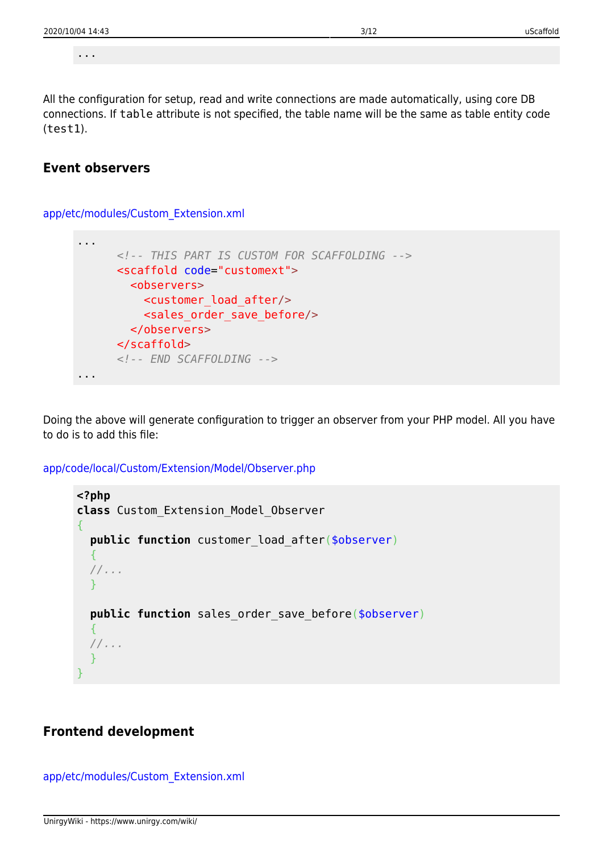...

All the configuration for setup, read and write connections are made automatically, using core DB connections. If table attribute is not specified, the table name will be the same as table entity code (test1).

#### **Event observers**

[app/etc/modules/Custom\\_Extension.xml](https://www.unirgy.com/wiki/_export/code/uscaffold?codeblock=5)

```
...
       <!-- THIS PART IS CUSTOM FOR SCAFFOLDING -->
       <scaffold code="customext">
         <observers>
           <customer_load_after/>
           <sales_order_save_before/>
         </observers>
       </scaffold>
       <!-- END SCAFFOLDING -->
...
```
Doing the above will generate configuration to trigger an observer from your PHP model. All you have to do is to add this file:

[app/code/local/Custom/Extension/Model/Observer.php](https://www.unirgy.com/wiki/_export/code/uscaffold?codeblock=6)

```
<?php
class Custom_Extension_Model_Observer
{
   public function customer_load_after($observer)
   {
   //...
   }
  public function sales order save before($observer)
  \{ //...
   }
}
```
#### **Frontend development**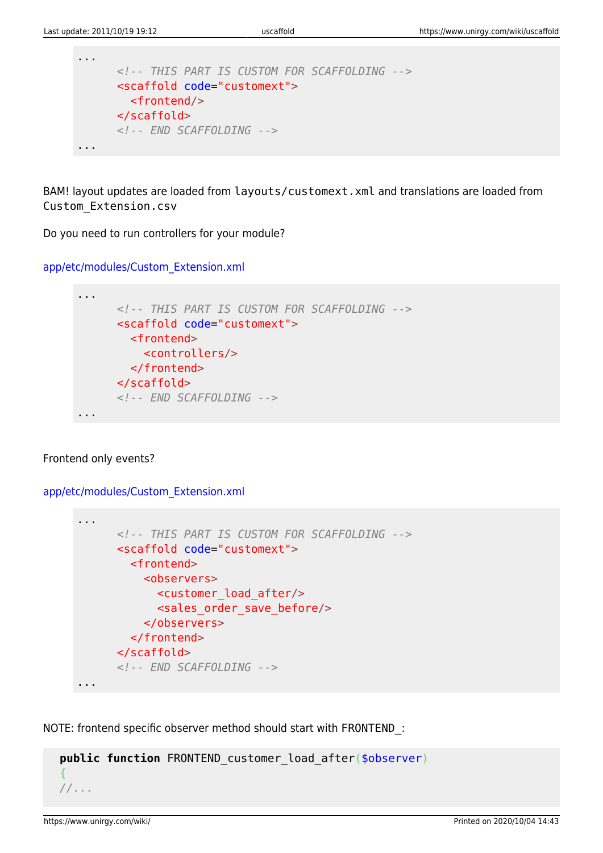```
...
       <!-- THIS PART IS CUSTOM FOR SCAFFOLDING -->
       <scaffold code="customext">
         <frontend/>
       </scaffold>
       <!-- END SCAFFOLDING -->
...
```
BAM! layout updates are loaded from layouts/customext.xml and translations are loaded from Custom\_Extension.csv

Do you need to run controllers for your module?

[app/etc/modules/Custom\\_Extension.xml](https://www.unirgy.com/wiki/_export/code/uscaffold?codeblock=8)



#### Frontend only events?

[app/etc/modules/Custom\\_Extension.xml](https://www.unirgy.com/wiki/_export/code/uscaffold?codeblock=9)

```
...
       <!-- THIS PART IS CUSTOM FOR SCAFFOLDING -->
       <scaffold code="customext">
         <frontend>
           <observers>
             <customer_load_after/>
             <sales_order_save_before/>
           </observers>
         </frontend>
       </scaffold>
       <!-- END SCAFFOLDING -->
...
```
NOTE: frontend specific observer method should start with FRONTEND\_:

```
 public function FRONTEND_customer_load_after($observer)
 {
 //...
```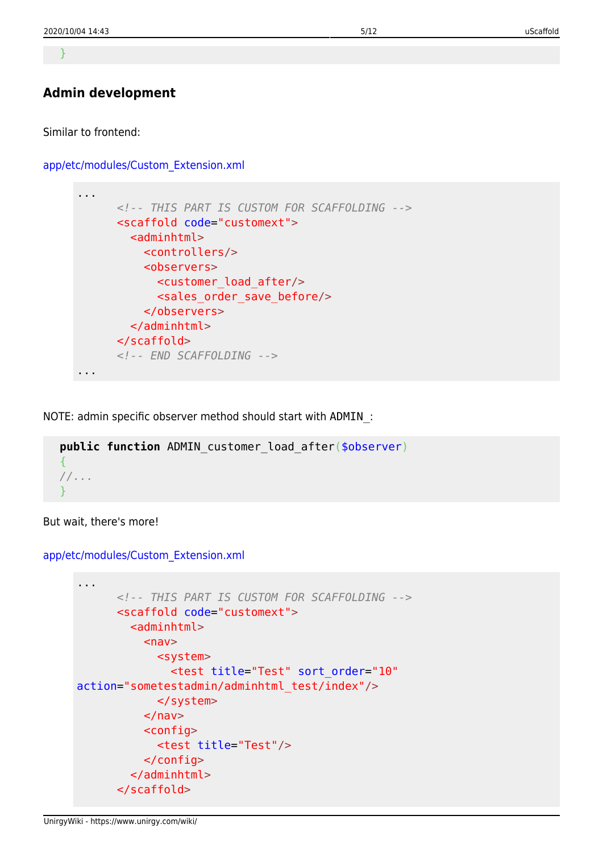}

#### **Admin development**

Similar to frontend:

#### [app/etc/modules/Custom\\_Extension.xml](https://www.unirgy.com/wiki/_export/code/uscaffold?codeblock=11)



NOTE: admin specific observer method should start with ADMIN\_:

```
 public function ADMIN_customer_load_after($observer)
\overline{A} //...
 }
```
But wait, there's more!

```
...
       <!-- THIS PART IS CUSTOM FOR SCAFFOLDING -->
       <scaffold code="customext">
        \leqadminhtml><nav> <system>
                <test title="Test" sort_order="10"
action="sometestadmin/adminhtml_test/index"/>
              </system>
          \langlenav> <config>
              <test title="Test"/>
           </config>
         </adminhtml>
       </scaffold>
```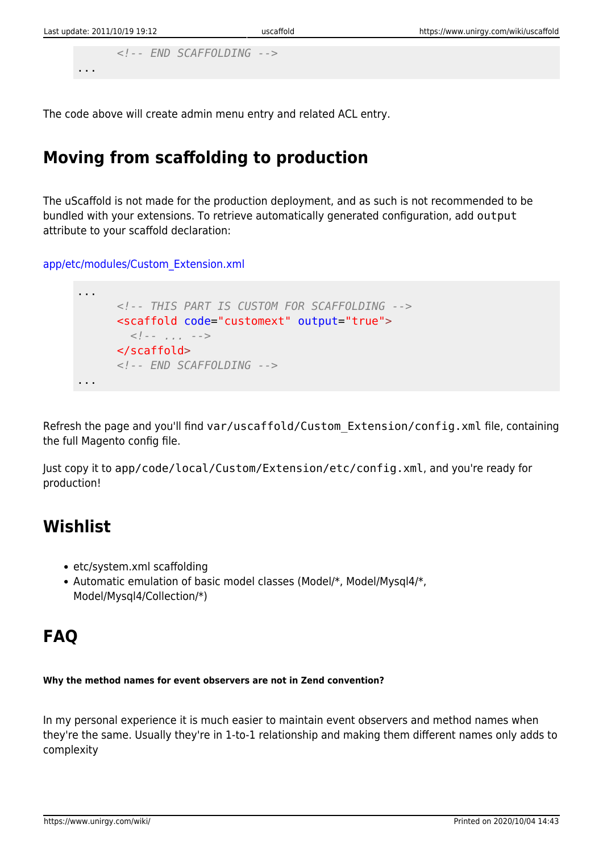```
 <!-- END SCAFFOLDING -->
...
```
The code above will create admin menu entry and related ACL entry.

# **Moving from scaffolding to production**

The uScaffold is not made for the production deployment, and as such is not recommended to be bundled with your extensions. To retrieve automatically generated configuration, add output attribute to your scaffold declaration:

[app/etc/modules/Custom\\_Extension.xml](https://www.unirgy.com/wiki/_export/code/uscaffold?codeblock=14)

```
...
       <!-- THIS PART IS CUSTOM FOR SCAFFOLDING -->
       <scaffold code="customext" output="true">
         <!-- ... -->
       </scaffold>
       <!-- END SCAFFOLDING -->
...
```
Refresh the page and you'll find var/uscaffold/Custom\_Extension/config.xml file, containing the full Magento config file.

Just copy it to app/code/local/Custom/Extension/etc/config.xml, and you're ready for production!

### **Wishlist**

- etc/system.xml scaffolding
- Automatic emulation of basic model classes (Model/\*, Model/Mysql4/\*, Model/Mysql4/Collection/\*)

# **FAQ**

#### **Why the method names for event observers are not in Zend convention?**

In my personal experience it is much easier to maintain event observers and method names when they're the same. Usually they're in 1-to-1 relationship and making them different names only adds to complexity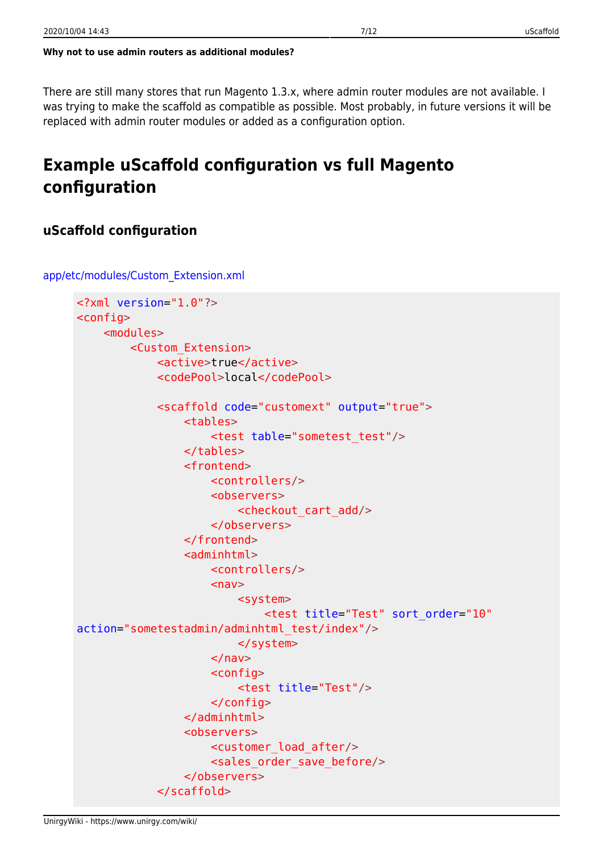There are still many stores that run Magento 1.3.x, where admin router modules are not available. I was trying to make the scaffold as compatible as possible. Most probably, in future versions it will be replaced with admin router modules or added as a configuration option.

# **Example uScaffold configuration vs full Magento configuration**

#### **uScaffold configuration**

```
<?xml version="1.0"?>
<config>
     <modules>
         <Custom_Extension>
              <active>true</active>
              <codePool>local</codePool>
              <scaffold code="customext" output="true">
                  <tables>
                       <test table="sometest_test"/>
                  </tables>
                  <frontend>
                       <controllers/>
                      <observers>
                           <checkout_cart_add/>
                       </observers>
                  </frontend>
                 \leqadminhtml>
                       <controllers/>
                      <sub>nav</sub></sub>
                           <system>
                                <test title="Test" sort_order="10"
action="sometestadmin/adminhtml_test/index"/>
                           </system>
                      </nav><config>
                           <test title="Test"/>
                       </config>
                  </adminhtml>
                  <observers>
                       <customer_load_after/>
                      <sales order save before/>
                  </observers>
              </scaffold>
```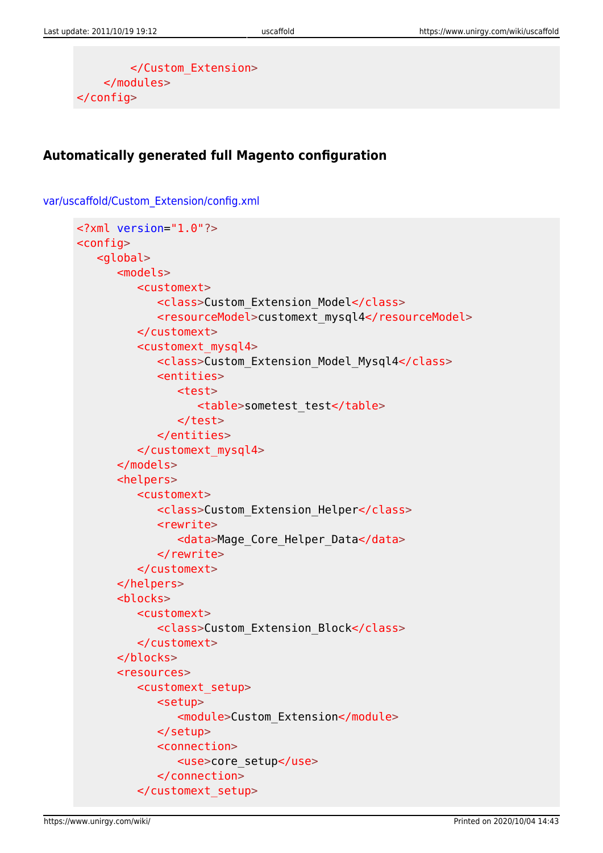```
 </Custom_Extension>
     </modules>
</config>
```
[var/uscaffold/Custom\\_Extension/config.xml](https://www.unirgy.com/wiki/_export/code/uscaffold?codeblock=16)

### **Automatically generated full Magento configuration**

```
<?xml version="1.0"?>
<config>
    <global>
       <models>
          <customext>
              <class>Custom_Extension_Model</class>
              <resourceModel>customext_mysql4</resourceModel>
          </customext>
          <customext_mysql4>
              <class>Custom_Extension_Model_Mysql4</class>
              <entities>
                 <test>
                    <table>sometest_test</table>
                 </test>
              </entities>
          </customext_mysql4>
       </models>
       <helpers>
          <customext>
              <class>Custom_Extension_Helper</class>
              <rewrite>
                <data>Mage Core Helper Data</data>
              </rewrite>
          </customext>
       </helpers>
       <blocks>
          <customext>
              <class>Custom_Extension_Block</class>
          </customext>
       </blocks>
       <resources>
          <customext_setup>
             <setup>
                 <module>Custom_Extension</module>
              </setup>
              <connection>
                 <use>core_setup</use>
              </connection>
          </customext_setup>
```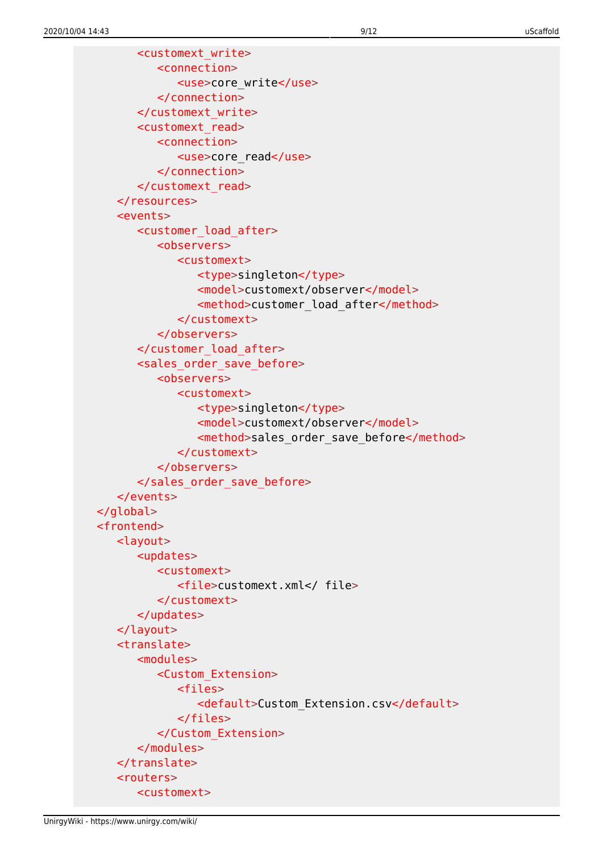<customext\_write> <connection> <use>core\_write</use> </connection> </customext\_write> <customext\_read> <connection> <use>core\_read</use> </connection> </customext\_read> </resources> <events> <customer\_load\_after> <observers> <customext> <type>singleton</type> <model>customext/observer</model> <method>customer\_load\_after</method> </customext> </observers> </customer\_load\_after> <sales\_order\_save\_before> <observers> <customext> <type>singleton</type> <model>customext/observer</model> <method>sales order save before</method> </customext> </observers> </sales\_order\_save\_before> </events> </global> <frontend> <layout> <updates> <customext> <file>customext.xml</ file> </customext> </updates> </layout> <translate> <modules> <Custom\_Extension> <files> <default>Custom\_Extension.csv</default> </files> </Custom\_Extension> </modules> </translate> <routers> <customext>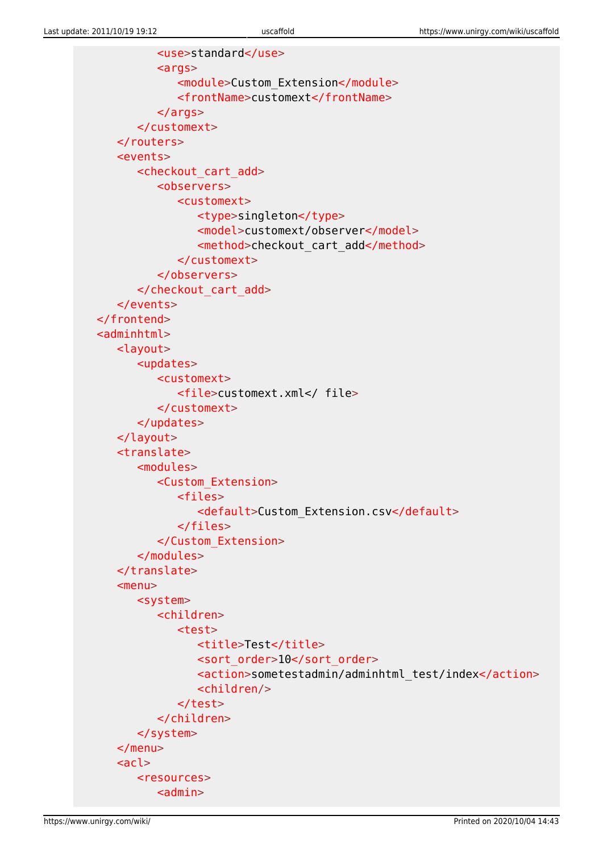```
 <use>standard</use>
          <sub>args</sub></sub>
               <module>Custom_Extension</module>
               <frontName>customext</frontName>
           </args>
        </customext>
    </routers>
    <events>
        <checkout_cart_add>
           <observers>
               <customext>
                  <type>singleton</type>
                  <model>customext/observer</model>
                 <method>checkout cart add</method>
               </customext>
           </observers>
        </checkout_cart_add>
    </events>
 </frontend>
<adminhtml>
    <layout>
        <updates>
           <customext>
               <file>customext.xml</ file>
           </customext>
        </updates>
    </layout>
    <translate>
        <modules>
           <Custom_Extension>
               <files>
                  <default>Custom_Extension.csv</default>
               </files>
           </Custom_Extension>
        </modules>
    </translate>
   <sub>menu</sub></sub>
       <system>
           <children>
               <test>
                 <title>Test</title>
                 <sort_order>10</sort_order>
                  <action>sometestadmin/adminhtml_test/index</action>
                  <children/>
               </test>
           </children>
        </system>
    </menu>
   <sub>ac</sub>l<sub>></sub></sub>
        <resources>
          <admin>
```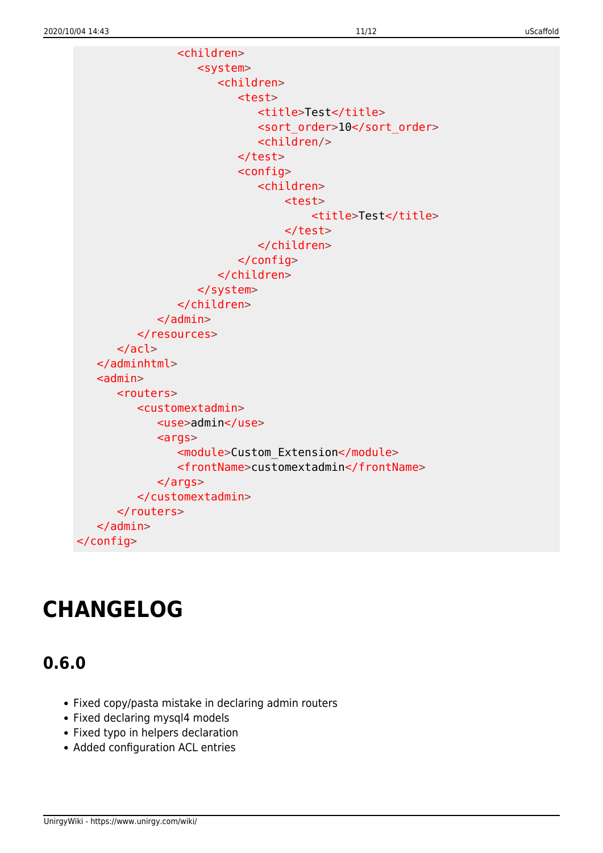<children> <system> <children> <test> <title>Test</title> <sort\_order>10</sort\_order> <children/> </test> <config> <children> <test> <title>Test</title> </test> </children> </config> </children> </system> </children> </admin> </resources> </acl> </adminhtml>  $\alpha$  <admin  $>$  <routers> <customextadmin> <use>admin</use>  $\alpha$ rgs> <module>Custom\_Extension</module> <frontName>customextadmin</frontName> </args> </customextadmin> </routers> </admin> </config>

# **CHANGELOG**

# **0.6.0**

- Fixed copy/pasta mistake in declaring admin routers
- Fixed declaring mysql4 models
- Fixed typo in helpers declaration
- Added configuration ACL entries